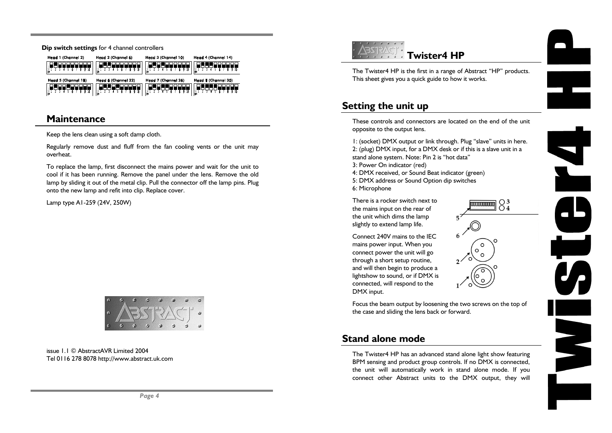**Dip switch settings** for 4 channel controllers

| Head 1 (Channel 2)  | Head 2 (Channel 6)  | Head 3 (Channel 10) | Head 4 (Chonnel 14) |
|---------------------|---------------------|---------------------|---------------------|
|                     | ă                   | iw⊤                 |                     |
|                     |                     |                     |                     |
| Head 5 (Channel 18) | Head 6 (Channel 22) | Head 7 (Channel 26) | Head & (Channel 30) |

# **Maintenance**

Keep the lens clean using a soft damp cloth.

Regularly remove dust and fluff from the fan cooling vents or the unit may overheat.

To replace the lamp, first disconnect the mains power and wait for the unit to cool if it has been running. Remove the panel under the lens. Remove the old lamp by sliding it out of the metal clip. Pull the connector off the lamp pins. Plug onto the new lamp and refit into clip. Replace cover.

Lamp type A1-259 (24V, 250W)



issue 1.1 © AbstractAVR Limited 2004Tel 0116 278 8078 http://www.abstract.uk.com





 $\overline{a}$ 

 $\overline{\phantom{a}}$ 

J,

EN S

# **Setting the unit up**

These controls and connectors are located on the end of the unitopposite to the output lens.

1: (socket) DMX output or link through. Plug "slave" units in here. 2: (plug) DMX input, for a DMX desk or if this is a slave unit in a stand alone system. Note: Pin 2 is "hot data"

 $\overline{\mathbb{P}}$   $\overline{\mathbb{P}}$   $\overline{\mathbb{P}}$   $\overline{\mathbb{P}}$   $\overline{\mathbb{P}}$   $\overline{\mathbb{P}}$   $\overline{\mathbb{P}}$   $\overline{\mathbb{P}}$   $\overline{\mathbb{P}}$   $\overline{\mathbb{P}}$   $\overline{\mathbb{P}}$   $\overline{\mathbb{P}}$   $\overline{\mathbb{P}}$   $\overline{\mathbb{P}}$   $\overline{\mathbb{P}}$   $\overline{\mathbb{P}}$   $\overline{\mathbb{P}}$   $\overline{\mathbb{P}}$   $\overline{\$ 

- 3: Power On indicator (red)
- 4: DMX received, or Sound Beat indicator (green)
- 5: DMX address or Sound Option dip switches
- 6: Microphone

There is a rocker switch next tothe mains input on the rear of the unit which dims the lamp slightly to extend lamp life.

Connect 240V mains to the IECmains power input. When you connect power the unit will go through a short setup routine, and will then begin to produce a lightshow to sound, or if DMX is connected, will respond to the DMX input.

Focus the beam output by loosening the two screws on the top of the case and sliding the lens back or forward.

# **Stand alone mode**

The Twister4 HP has an advanced stand alone light show featuring BPM sensing and product group controls. If no DMX is connected, the unit will automatically work in stand alone mode. If you connect other Abstract units to the DMX output, they will